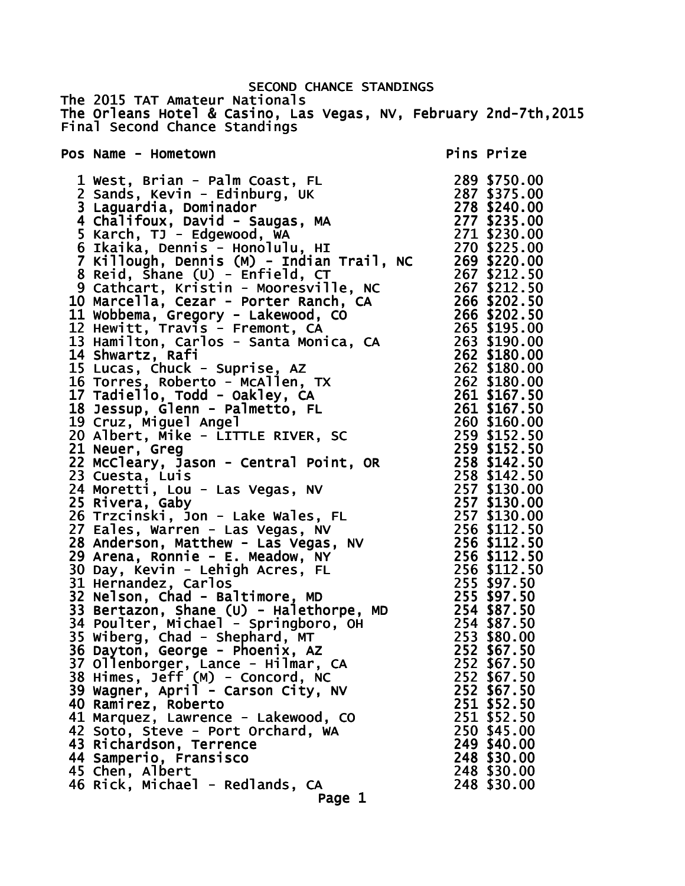SECOND CHANCE STANDINGS The 2015 TAT Amateur Nationals The Orleans Hotel & Casino, Las Vegas, NV, February 2nd-7th,2015 Final Second Chance Standings Pos Name - Hometown Pos Name - Hometown Pins Prize 1 West, Brian - Palm Coast, FL 289 \$750.00 2 Sands, Kevin - Edinburg, UK 287 \$375.00 3 Laguardia, Dominador 278 \$240.00 4 Chalifoux, David - Saugas, MA 277 \$235.00 5 Karch, TJ - Edgewood, WA 271 \$230.00 6 Ikaika, Dennis - Honolulu, HI 270 \$225.00 7 Killough, Dennis (M) - Indian Trail, NC 269 \$220.00 8 Reid, Shane (U) - Enfield, CT 267 \$212.50 9 Cathcart, Kristin - Mooresville, NC 267 \$212.50 10 Marcella, Cezar - Porter Ranch, CA 266 \$202.50 11 Wobbema, Gregory - Lakewood, CO 266 \$202.50 12 Hewitt, Travis - Fremont, CA 265 \$195.00 13 Hamilton, Carlos - Santa Monica, CA 263 \$190.00 14 Shwartz, Rafi 262 \$180.00 15 Lucas, Chuck - Suprise, AZ 262 \$180.00 16 Torres, Roberto - McAllen, TX 262 \$180.00 17 Tadiello, Todd - Oakley, CA 261 \$167.50 18 Jessup, Glenn - Palmetto, FL 261 \$167.50 19 Cruz, Miguel Angel 260 \$160.00 20 Albert, Mike - LITTLE RIVER, SC 259 \$152.50 21 Neuer, Greg 259 \$152.50 22 McCleary, Jason - Central Point, OR 258 \$142.50 23 Cuesta, Luis 258 \$142.50 24 Moretti, Lou - Las Vegas, NV 257 \$130.00 25 Rivera, Gaby 257 \$130.00 26 Trzcinski, Jon - Lake Wales, FL 257 \$130.00 27 Eales, Warren - Las Vegas, NV 256 \$112.50 28 Anderson, Matthew - Las Vegas, NV 256 \$112.50 29 Arena, Ronnie - E. Meadow, NY 256 \$112.50 30 Day, Kevin - Lehigh Acres, FL 256 \$112.50 31 Hernandez, Carlos 255 \$97.50 32 Nelson, Chad - Baltimore, MD 255 \$97.50 33 Bertazon, Shane (U) - Halethorpe, MD 254 \$87.50 34 Poulter, Michael - Springboro, OH 254 \$87.50 35 Wiberg, Chad - Shephard, MT 253 \$80.00 36 Dayton, George - Phoenix, AZ 252 \$67.50 37 Ollenborger, Lance - Hilmar, CA 252 \$67.50 38 Himes, Jeff (M) - Concord, NC 252 \$67.50 39 Wagner, April - Carson City, NV 252 \$67.50 40 Ramirez, Roberto 251 \$52.50 41 Marquez, Lawrence - Lakewood, CO 251 \$52.50

 42 Soto, Steve - Port Orchard, WA 250 \$45.00 43 Richardson, Terrence 249 \$40.00

- 44 Samperio, Fransisco 248 \$30.00
- 45 Chen, Albert 248 \$30.00
- 46 Rick, Michael Redlands, CA 248 \$30.00
	- Page 1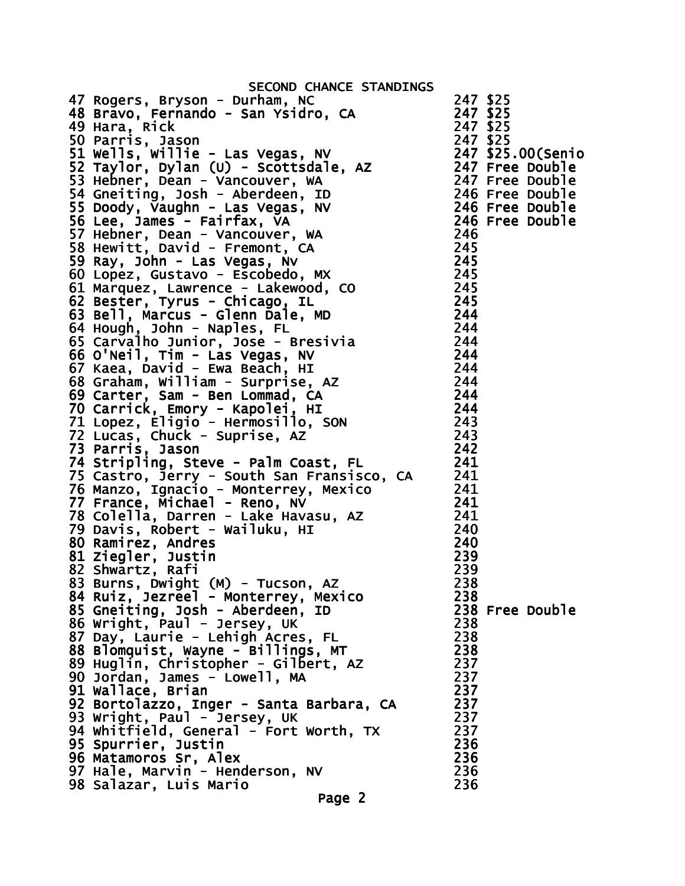| SECOND CHANCE STANDINGS                                                                                                                                                                                                                            |                 |
|----------------------------------------------------------------------------------------------------------------------------------------------------------------------------------------------------------------------------------------------------|-----------------|
| 47 Rogers, Bryson - Durham, NC                                                                                                                                                                                                                     | 247 \$25        |
| 48 Bravo, Fernando - San Ysidro, CA                                                                                                                                                                                                                | 247 \$25        |
| 49 Hara, Rick                                                                                                                                                                                                                                      | 247 \$25        |
|                                                                                                                                                                                                                                                    |                 |
| 49 Hara, Rick<br>Sample, Nason<br>Sample, Nason<br>Sample, Das Carlier - Las Vegas, NV<br>247 \$25.00(Senio<br>52 Taylor, Dylan (U) - Scottsdale, AZ<br>247 Free Double<br>53 Hebner, Dean - Vancouver, WA<br>53 Doody, Vaughn - Las Vegas, NV<br> |                 |
|                                                                                                                                                                                                                                                    |                 |
|                                                                                                                                                                                                                                                    |                 |
|                                                                                                                                                                                                                                                    |                 |
|                                                                                                                                                                                                                                                    |                 |
|                                                                                                                                                                                                                                                    |                 |
|                                                                                                                                                                                                                                                    |                 |
|                                                                                                                                                                                                                                                    |                 |
|                                                                                                                                                                                                                                                    |                 |
|                                                                                                                                                                                                                                                    |                 |
|                                                                                                                                                                                                                                                    |                 |
|                                                                                                                                                                                                                                                    |                 |
|                                                                                                                                                                                                                                                    |                 |
|                                                                                                                                                                                                                                                    |                 |
|                                                                                                                                                                                                                                                    |                 |
|                                                                                                                                                                                                                                                    |                 |
|                                                                                                                                                                                                                                                    |                 |
|                                                                                                                                                                                                                                                    |                 |
|                                                                                                                                                                                                                                                    |                 |
| 69 Carter, Sam - Ben Lommad, CA                                                                                                                                                                                                                    | 244             |
| 70 Carrick, Emory - Kapolei, HI                                                                                                                                                                                                                    | 244             |
| 70 Carrick, Emory - Rapolet, I.L<br>71 Lopez, Eligio - Hermosillo, SON<br>72 Lucas, Chuck - Suprise, AZ                                                                                                                                            | 243             |
|                                                                                                                                                                                                                                                    | 243             |
| 73 Parris, Jason                                                                                                                                                                                                                                   | 242             |
| 74 Stripling, Steve - Palm Coast, FL                                                                                                                                                                                                               | 241             |
| 75 Castro, Jerry - South San Fransisco, CA 241                                                                                                                                                                                                     |                 |
| 76 Manzo, Ignacio - Monterrey, Mexico                                                                                                                                                                                                              |                 |
|                                                                                                                                                                                                                                                    |                 |
| $241$<br>$241$<br>$241$<br>$240$                                                                                                                                                                                                                   |                 |
|                                                                                                                                                                                                                                                    | 240             |
|                                                                                                                                                                                                                                                    | 240             |
| 77 France, Michael - Reno, NV<br>78 Colella, Darren - Lake Havasu, AZ<br>79 Davis, Robert - Wailuku, HI<br>00 Damirez, Andres                                                                                                                      |                 |
| 81 Ziegler, Justin                                                                                                                                                                                                                                 | 239             |
| 82 Shwartz, Rafi                                                                                                                                                                                                                                   | 239             |
| 83 Burns, Dwight (M) - Tucson, AZ                                                                                                                                                                                                                  | 238             |
| 84 Ruiz, Jezreel - Monterrey, Mexico                                                                                                                                                                                                               | 238             |
| 85 Gneiting, Josh - Aberdeen, ID                                                                                                                                                                                                                   | 238 Free Double |
| 86 Wright, Paul - Jersey, UK                                                                                                                                                                                                                       | 238             |
| 87 Day, Laurie - Lehigh Acres, FL                                                                                                                                                                                                                  | 238             |
| 88 Blomquist, Wayne - Billings, MT                                                                                                                                                                                                                 | 238             |
| 89 Huglin, Christopher - Gilbert, AZ                                                                                                                                                                                                               | 237             |
| 90 Jordan, James - Lowell, MA                                                                                                                                                                                                                      | 237             |
| 91 Wallace, Brian                                                                                                                                                                                                                                  | 237             |
| 92 Bortolazzo, Inger - Santa Barbara, CA                                                                                                                                                                                                           | 237             |
| 93 Wright, Paul - Jersey, UK                                                                                                                                                                                                                       | 237             |
| 94 whitfield, General - Fort Worth, TX                                                                                                                                                                                                             | 237             |
| 95 Spurrier, Justin                                                                                                                                                                                                                                | 236             |
| 96 Matamoros Sr, Alex                                                                                                                                                                                                                              | 236             |
| 97 Hale, Marvin - Henderson, NV                                                                                                                                                                                                                    | 236             |
| 98 Salazar, Luis Mario                                                                                                                                                                                                                             | 236             |
| Page 2                                                                                                                                                                                                                                             |                 |
|                                                                                                                                                                                                                                                    |                 |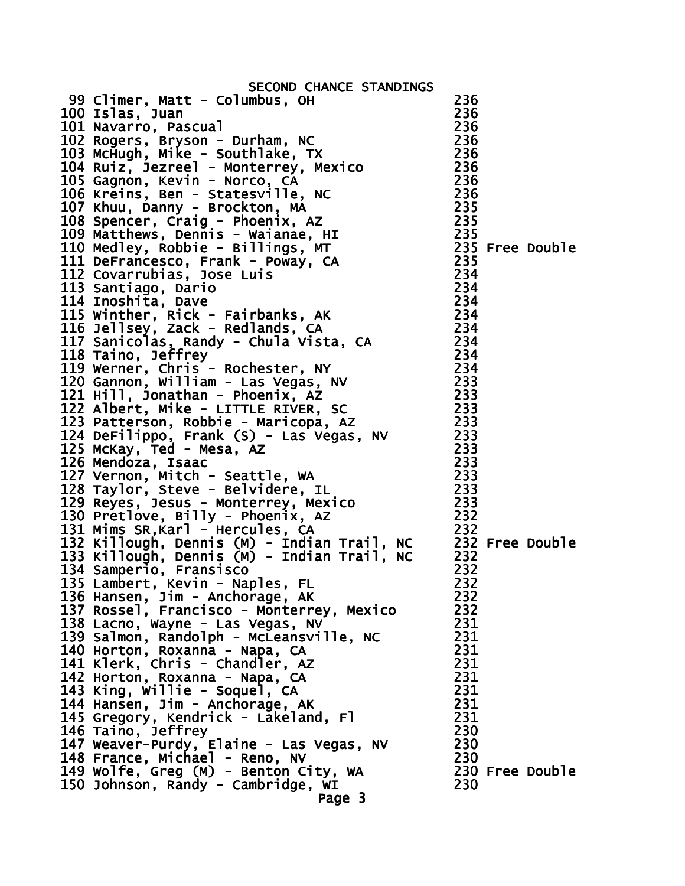| SECOND CHANCE STANDINGS                                                                                                                                                                                                                                                          |     |                 |
|----------------------------------------------------------------------------------------------------------------------------------------------------------------------------------------------------------------------------------------------------------------------------------|-----|-----------------|
| 99 Climer, Matt - Columbus, OH<br>SECOND CHANCE STANDINGS<br>100 Islas, Juan<br>100 Islas, Juan<br>101 Navarro, Pascual<br>102 Rogers, Bryson - Durham, NC<br>103 McHugh, Mike - Southlake, TX<br>103 McHugh, Mike - Southlake, TX<br>103 McHugh, Mike - Southlake, TX<br>105 Ga |     |                 |
|                                                                                                                                                                                                                                                                                  |     |                 |
|                                                                                                                                                                                                                                                                                  |     |                 |
|                                                                                                                                                                                                                                                                                  |     |                 |
|                                                                                                                                                                                                                                                                                  |     |                 |
|                                                                                                                                                                                                                                                                                  |     |                 |
|                                                                                                                                                                                                                                                                                  |     |                 |
|                                                                                                                                                                                                                                                                                  |     |                 |
|                                                                                                                                                                                                                                                                                  |     |                 |
|                                                                                                                                                                                                                                                                                  |     |                 |
|                                                                                                                                                                                                                                                                                  |     |                 |
|                                                                                                                                                                                                                                                                                  |     |                 |
|                                                                                                                                                                                                                                                                                  |     |                 |
|                                                                                                                                                                                                                                                                                  |     |                 |
|                                                                                                                                                                                                                                                                                  |     |                 |
|                                                                                                                                                                                                                                                                                  |     |                 |
|                                                                                                                                                                                                                                                                                  |     |                 |
|                                                                                                                                                                                                                                                                                  |     |                 |
|                                                                                                                                                                                                                                                                                  |     |                 |
|                                                                                                                                                                                                                                                                                  |     |                 |
|                                                                                                                                                                                                                                                                                  |     |                 |
|                                                                                                                                                                                                                                                                                  |     |                 |
|                                                                                                                                                                                                                                                                                  |     |                 |
|                                                                                                                                                                                                                                                                                  |     |                 |
| 234<br>120 Gannon, William - Las Vegas, NV<br>121 Hill, Jonathan - Phoenix, AZ<br>122 Albert, Mike - LITTLE RIVER, SC<br>123 Patterson, Robbie - Maricopa, AZ<br>124 DeFilippo, Frank (S) - Las Vegas, NV<br>125 McKay, Ted - Mesa, AZ<br>12                                     |     |                 |
|                                                                                                                                                                                                                                                                                  |     |                 |
|                                                                                                                                                                                                                                                                                  |     |                 |
| 125 McKay, Ted - Mesa, Az<br>125 McKay, Ted - Mesa, Az<br>126 Mendoza, Isaac<br>127 Vernon, Mitch - Seattle, WA<br>128 Taylor, Steve - Belvidere, IL<br>129 Reyes, Jesus - Monterrey, Mexico<br>130 Pretlove, Billy - Phoenix, AZ<br>131 Mim                                     |     |                 |
|                                                                                                                                                                                                                                                                                  |     |                 |
|                                                                                                                                                                                                                                                                                  |     |                 |
|                                                                                                                                                                                                                                                                                  |     |                 |
|                                                                                                                                                                                                                                                                                  |     |                 |
|                                                                                                                                                                                                                                                                                  |     |                 |
|                                                                                                                                                                                                                                                                                  |     |                 |
|                                                                                                                                                                                                                                                                                  |     |                 |
|                                                                                                                                                                                                                                                                                  |     |                 |
| 134 Samperio, Fransisco                                                                                                                                                                                                                                                          | 232 |                 |
| 135 Lambert, Kevin - Naples, FL                                                                                                                                                                                                                                                  | 232 |                 |
| 136 Hansen, Jim - Anchorage, AK                                                                                                                                                                                                                                                  | 232 |                 |
| 137 Rossel, Francisco - Monterrey, Mexico                                                                                                                                                                                                                                        | 232 |                 |
| 138 Lacno, Wayne - Las Vegas, NV                                                                                                                                                                                                                                                 | 231 |                 |
| 139 Salmon, Randolph - McLeansville, NC                                                                                                                                                                                                                                          | 231 |                 |
| 140 Horton, Roxanna - Napa, CA                                                                                                                                                                                                                                                   | 231 |                 |
| 141 Klerk, Chris - Chandler, AZ                                                                                                                                                                                                                                                  | 231 |                 |
|                                                                                                                                                                                                                                                                                  | 231 |                 |
| 142 Horton, Roxanna - Napa, CA                                                                                                                                                                                                                                                   |     |                 |
| 143 King, Willie - Soquel, CA                                                                                                                                                                                                                                                    | 231 |                 |
| 144 Hansen, Jim - Anchorage, AK                                                                                                                                                                                                                                                  | 231 |                 |
| 145 Gregory, Kendrick - Lakeland, Fl                                                                                                                                                                                                                                             | 231 |                 |
| 146 Taino, Jeffrey                                                                                                                                                                                                                                                               | 230 |                 |
| 147 Weaver-Purdy, Elaine - Las Vegas, NV                                                                                                                                                                                                                                         | 230 |                 |
| 148 France, Michael - Reno, NV                                                                                                                                                                                                                                                   | 230 |                 |
| 149 Wolfe, Greg (M) - Benton City, WA                                                                                                                                                                                                                                            |     | 230 Free Double |
| 150 Johnson, Randy - Cambridge, WI                                                                                                                                                                                                                                               | 230 |                 |
| Page 3                                                                                                                                                                                                                                                                           |     |                 |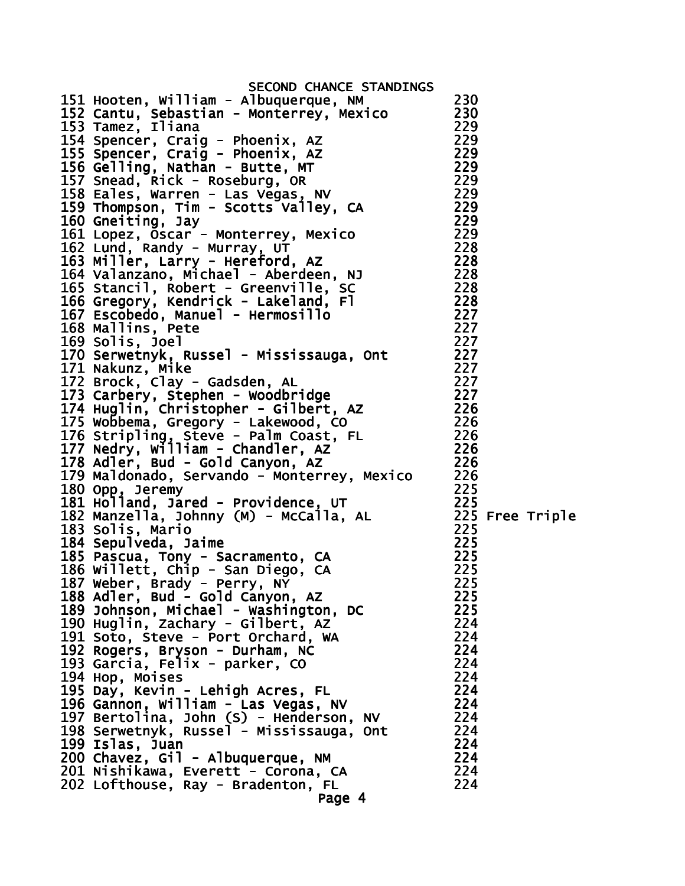SECOND CHANCE STANDINGS 151 Hooten, William - Albuquerque, NM 230 152 Cantu, Sebastian - Monterrey, Mexico 230 153 Tamez, Iliana 154 Spencer, Craig - Phoenix, AZ 229 155 Spencer, Craig - Phoenix, AZ 229 156 Gelling, Nathan - Butte, MT 229 157 Snead, Rick - Roseburg, OR 229 158 Eales, Warren - Las Vegas, NV 229 159 Thompson, Tim - Scotts Valley, CA 229 160 Gneiting, Jay 229 161 Lopez, Oscar - Monterrey, Mexico 229 162 Lund, Randy - Murray, UT 163 Miller, Larry - Hereford, AZ 228 164 Valanzano, Michael - Aberdeen, NJ 228 165 Stancil, Robert - Greenville, SC 228 166 Gregory, Kendrick - Lakeland, Fl 228 167 Escobedo, Manuel - Hermosillo 227 168 Mallins, Pete 227 169 Solis, Joel 227 170 Serwetnyk, Russel - Mississauga, Ont 227 171 Nakunz, Mike 227 172 Brock, Clay - Gadsden, AL 227 173 Carbery, Stephen - Woodbridge 227 174 Huglin, Christopher - Gilbert, AZ 226 175 Wobbema, Gregory - Lakewood, CO 226 176 Stripling, Steve - Palm Coast, FL 226 177 Nedry, William - Chandler, AZ 226 178 Adler, Bud - Gold Canyon, AZ 226 179 Maldonado, Servando - Monterrey, Mexico 226 180 Opp, Jeremy 225 181 Holland, Jared - Providence, UT 225 182 Manzella, Johnny (M) - McCalla, AL 225 Free Triple 183 Solis, Mario 225 184 Sepulveda, Jaime 185 Pascua, Tony - Sacramento, CA 225 186 Willett, Chip - San Diego, CA 225 187 Weber, Brady - Perry, NY 225 188 Adler, Bud - Gold Canyon, AZ 225 189 Johnson, Michael - Washington, DC 225 190 Huglin, Zachary - Gilbert, AZ 224 191 Soto, Steve - Port Orchard, WA 224 192 Rogers, Bryson - Durham, NC 224 193 Garcia, Felix - parker, CO 224 194 Hop, Moises 224 195 Day, Kevin - Lehigh Acres, FL 224 196 Gannon, William - Las Vegas, NV 224 197 Bertolina, John (S) - Henderson, NV 224 198 Serwetnyk, Russel - Mississauga, Ont 224 199 Islas, Juan 224 200 Chavez, Gil - Albuquerque, NM 224 201 Nishikawa, Everett - Corona, CA 224 202 Lofthouse, Ray - Bradenton, FL 224 Page 4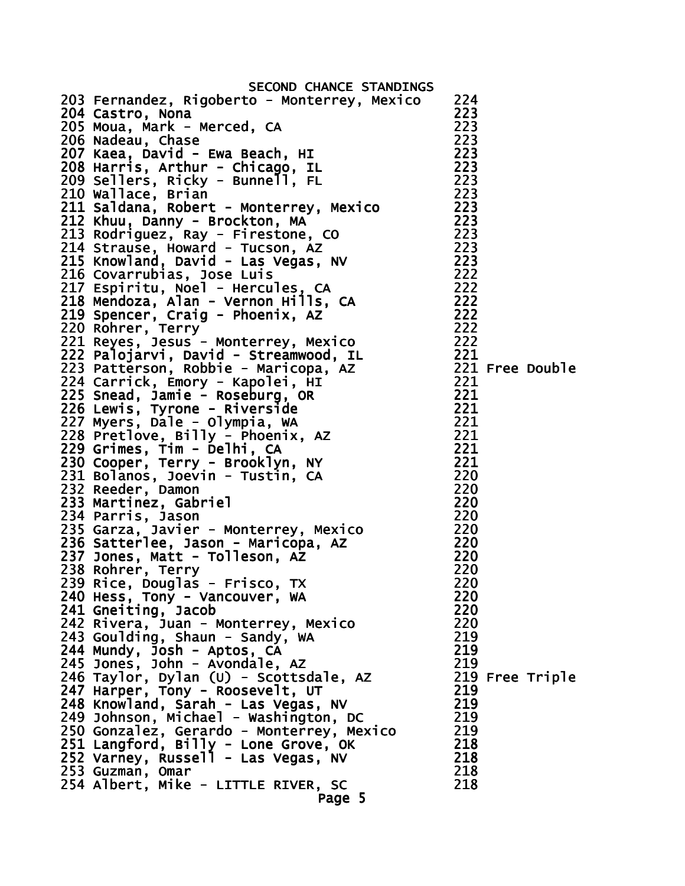| SECOND CHANCE STANDINGS                                                                                                                                                                                                                                      |     |                 |
|--------------------------------------------------------------------------------------------------------------------------------------------------------------------------------------------------------------------------------------------------------------|-----|-----------------|
| 203 Fernandez, Rigoberto - Monterrey, Mexico<br>203 Fernangez, Rigoson Co<br>204 Castro, Nona<br>205 Moua, Mark - Merced, CA<br>206 Nadeau, Chase<br>207 Kaea, David - Ewa Beach, HI<br>208 Harris, Arthur - Chicago, IL<br>208 Harris, Arthur - Chicago, IL | 224 |                 |
|                                                                                                                                                                                                                                                              | 223 |                 |
|                                                                                                                                                                                                                                                              | 223 |                 |
|                                                                                                                                                                                                                                                              | 223 |                 |
|                                                                                                                                                                                                                                                              | 223 |                 |
|                                                                                                                                                                                                                                                              | 223 |                 |
|                                                                                                                                                                                                                                                              | 223 |                 |
| 210 Wallace, Brian                                                                                                                                                                                                                                           | 223 |                 |
|                                                                                                                                                                                                                                                              |     |                 |
| 211 Saldana, Robert - Monterrey, Mexico 223                                                                                                                                                                                                                  |     |                 |
|                                                                                                                                                                                                                                                              |     |                 |
|                                                                                                                                                                                                                                                              |     |                 |
|                                                                                                                                                                                                                                                              |     |                 |
|                                                                                                                                                                                                                                                              |     |                 |
|                                                                                                                                                                                                                                                              |     |                 |
|                                                                                                                                                                                                                                                              |     |                 |
|                                                                                                                                                                                                                                                              |     |                 |
|                                                                                                                                                                                                                                                              |     |                 |
|                                                                                                                                                                                                                                                              |     |                 |
|                                                                                                                                                                                                                                                              |     |                 |
|                                                                                                                                                                                                                                                              |     |                 |
|                                                                                                                                                                                                                                                              |     |                 |
|                                                                                                                                                                                                                                                              |     |                 |
|                                                                                                                                                                                                                                                              |     |                 |
|                                                                                                                                                                                                                                                              |     |                 |
|                                                                                                                                                                                                                                                              |     |                 |
| 210 Wallace, Brian<br>211 Saldana, Robert - Monterrey, Mexico<br>2212 Khuu, Danny - Brockton, MA<br>211 Saldana, Robert - Montersone, CO<br>213 Rodriguez, Howard - Tucson, AZ<br>214 Strause, Howard - Tucson, AZ<br>216 Covarrubias, Jose Luis             |     |                 |
|                                                                                                                                                                                                                                                              |     |                 |
|                                                                                                                                                                                                                                                              |     |                 |
|                                                                                                                                                                                                                                                              |     |                 |
|                                                                                                                                                                                                                                                              |     |                 |
|                                                                                                                                                                                                                                                              |     |                 |
|                                                                                                                                                                                                                                                              | 220 |                 |
|                                                                                                                                                                                                                                                              | 220 |                 |
|                                                                                                                                                                                                                                                              | 220 |                 |
|                                                                                                                                                                                                                                                              | 220 |                 |
|                                                                                                                                                                                                                                                              | 220 |                 |
|                                                                                                                                                                                                                                                              | 220 |                 |
|                                                                                                                                                                                                                                                              | 220 |                 |
| 234 Parris, Jason<br>235 Garza, Javier - Monterrey, Mexico<br>236 Satterlee, Jason - Maricopa, AZ<br>237 Jones, Matt - Tolleson, AZ<br>238 Rohrer, Terry<br>239 Rice, Douglas - Frisco, TX<br>240 Hess, Tony - Vancouver, WA<br>241 Gneiting, Jacob          | 220 |                 |
| 242 Rivera, Juan - Monterrey, Mexico                                                                                                                                                                                                                         | 220 |                 |
| 243 Goulding, Shaun - Sandy, WA                                                                                                                                                                                                                              | 219 |                 |
|                                                                                                                                                                                                                                                              | 219 |                 |
| 244 Mundy, Josh - Aptos, CA<br>245 Jones, John - Avondale, AZ                                                                                                                                                                                                | 219 |                 |
|                                                                                                                                                                                                                                                              |     | 219 Free Triple |
| 246 Taylor, Dylan (U) - Scottsdale, AZ<br>247 Harper, Tony - Roosevelt, UT                                                                                                                                                                                   | 219 |                 |
|                                                                                                                                                                                                                                                              | 219 |                 |
| 248 Knowland, Sarah - Las Vegas, NV<br>249 Johnson, Michael - Washington, DC                                                                                                                                                                                 | 219 |                 |
|                                                                                                                                                                                                                                                              | 219 |                 |
| 250 Gonzalez, Gerardo - Monterrey, Mexico                                                                                                                                                                                                                    | 218 |                 |
| 251 Langford, Billy - Lone Grove, OK<br>252 Varney, Russell - Las Vegas, NV                                                                                                                                                                                  |     |                 |
|                                                                                                                                                                                                                                                              | 218 |                 |
| 253 Guzman, Omar                                                                                                                                                                                                                                             | 218 |                 |
| 254 Albert, Mike - LITTLE RIVER, SC                                                                                                                                                                                                                          | 218 |                 |
| Page 5                                                                                                                                                                                                                                                       |     |                 |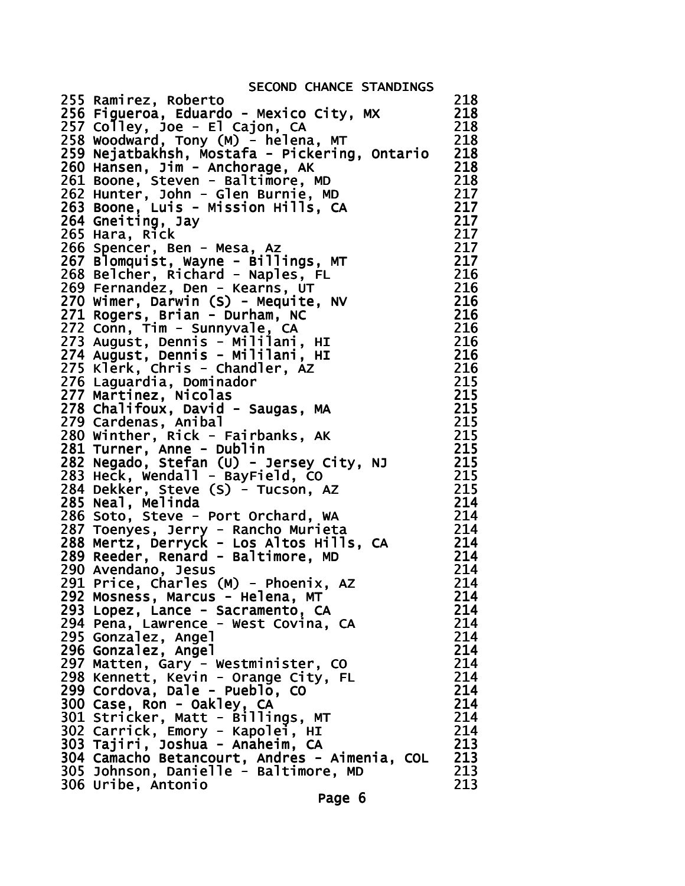| SECOND CHANCE STANDINGS                                                                                               |     |
|-----------------------------------------------------------------------------------------------------------------------|-----|
| 255 Ramirez, Roberto                                                                                                  | 218 |
| 256 Figueroa, Eduardo - Mexico City, MX                                                                               | 218 |
| 257 Colley, Joe - El Cajon, CA                                                                                        | 218 |
| 258 Woodward, Tony (M) - helena, MT                                                                                   | 218 |
| 259 Nejatbakhsh, Mostafa - Pickering, Ontario                                                                         | 218 |
|                                                                                                                       | 218 |
| 260 Hansen, Jim - Anchorage, AK                                                                                       | 218 |
| 261 Boone, Steven - Baltimore, MD                                                                                     |     |
| 262 Hunter, John - Glen Burnie, MD                                                                                    | 217 |
| 263 Boone, Luis - Mission Hills, CA                                                                                   | 217 |
| 264 Gneiting, Jay                                                                                                     | 217 |
| 265 Hara, Rick                                                                                                        | 217 |
| 266 Spencer, Ben - Mesa, Az                                                                                           | 217 |
| 267 Blomquist, Wayne - Billings, MT                                                                                   | 217 |
| 268 Belcher, Richard - Naples, FL                                                                                     | 216 |
| 269 Fernandez, Den - Kearns, UT                                                                                       | 216 |
| 270 Wimer, Darwin (S) - Mequite, NV                                                                                   | 216 |
| 271 Rogers, Brian - Durham, NC                                                                                        | 216 |
| 272 Conn, Tim - Sunnyvale, CA                                                                                         | 216 |
|                                                                                                                       | 216 |
| 273 August, Dennis - Mililani, HI<br>274 August, Dennis - Mililani, HI                                                | 216 |
| 275 Klerk, Chris - Chandler, AZ                                                                                       | 216 |
| 276 Laguardia, Dominador                                                                                              | 215 |
|                                                                                                                       |     |
| 277 Martinez, Nicolas                                                                                                 | 215 |
| 278 Chalifoux, David - Saugas, MA                                                                                     | 215 |
| 279 Cardenas, Anibal                                                                                                  | 215 |
| 280 Winther, Rick - Fairbanks, AK                                                                                     | 215 |
| 281 Turner, Anne - Dublin                                                                                             | 215 |
| 282 Negado, Stefan (U) - Jersey City, NJ                                                                              | 215 |
| 283 Heck, wendall - BayField, CO                                                                                      | 215 |
| 284 Dekker, Steve (S) - Tucson, AZ                                                                                    | 215 |
| 285 Neal, Melinda                                                                                                     | 214 |
| 286 Soto, Steve - Port Orchard, WA                                                                                    | 214 |
|                                                                                                                       | 214 |
| 287 Toenyes, Jerry - Rancho Murieta<br>288 Mertz, Derryck - Los Altos Hills, CA<br>289 Reeder, Renard - Baltimore, MD | 214 |
|                                                                                                                       | 214 |
| 290 Avendano, Jesus                                                                                                   | 214 |
| 291 Price, Charles (M) - Phoenix, AZ                                                                                  | 214 |
| 292 Mosness, Marcus - Helena, MT                                                                                      | 214 |
| 293 Lopez, Lance - Sacramento, CA                                                                                     | 214 |
|                                                                                                                       | 214 |
| 294 Pena, Lawrence - West Covina, CA                                                                                  |     |
| 295 Gonzalez, Angel                                                                                                   | 214 |
| 296 Gonzalez, Angel                                                                                                   | 214 |
| 297 Matten, Gary - Westminister, CO<br>298 Kennett, Kevin - Orange City, FL<br>299 Cordova, Dale - Pueblo, CO         | 214 |
|                                                                                                                       | 214 |
|                                                                                                                       | 214 |
| 300 Case, Ron - Oakley, CA                                                                                            | 214 |
| 301 Stricker, Matt - Billings, MT<br>302 Carrick, Emory - Kapolei, HI<br>303 Tajiri, Joshua - Anaheim, CA             | 214 |
|                                                                                                                       | 214 |
|                                                                                                                       | 213 |
|                                                                                                                       | 213 |
| 304 Camacho Betancourt, Andres - Aimenia, COL<br>305 Johnson, Danielle - Baltimore, MD                                | 213 |
| 306 Uribe, Antonio                                                                                                    | 213 |
| Page 6                                                                                                                |     |
|                                                                                                                       |     |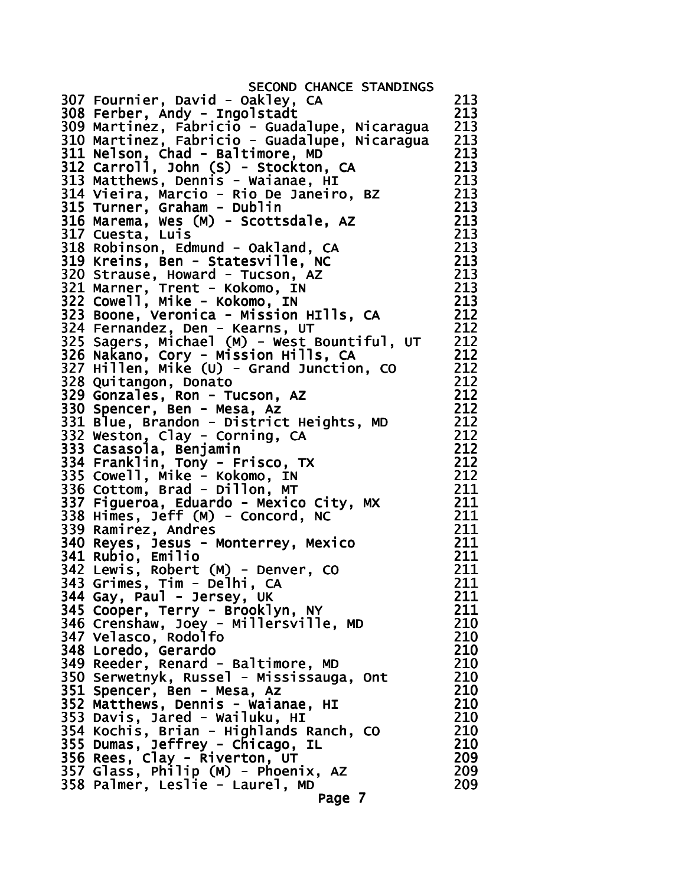SECOND CHANCE STANDINGS 307 Fournier, David - Oakley, CA 213 308 Ferber, Andy - Ingolstadt 213 309 Martinez, Fabricio - Guadalupe, Nicaragua 213<br>310 Martinez, Fabricio - Guadalupe, Nicaragua 213 310 Martinez, Fabricio - Guadalupe, Nicaragua 311 Nelson, Chad - Baltimore, MD 213 312 Carroll, John (S) - Stockton, CA 213 313 Matthews, Dennis - Waianae, HI 213 314 Vieira, Marcio - Rio De Janeiro, BZ 213 315 Turner, Graham - Dublin 213 316 Marema, Wes (M) - Scottsdale, AZ 213 317 Cuesta, Luis 213 318 Robinson, Edmund - Oakland, CA 213 319 Kreins, Ben - Statesville, NC 213 320 Strause, Howard - Tucson, AZ 213 321 Marner, Trent - Kokomo, IN 213 322 Cowell, Mike - Kokomo, IN 213 323 Boone, Veronica - Mission HIlls, CA 212 324 Fernandez, Den - Kearns, UT 212 325 Sagers, Michael (M) - West Bountiful, UT 212 326 Nakano, Cory - Mission Hills, CA 212 327 Hillen, Mike (U) - Grand Junction, CO 212 328 Quitangon, Donato 212 329 Gonzales, Ron - Tucson, AZ 212 330 Spencer, Ben - Mesa, Az 212 331 Blue, Brandon - District Heights, MD 212  $332$  Weston, Clay - Corning, CA  $212$ 333 Casasola, Benjamin 212 334 Franklin, Tony - Frisco, TX 335 Cowell, Mike - Kokomo, IN 212 336 Cottom, Brad - Dillon, MT 211 337 Figueroa, Eduardo - Mexico City, MX 211 338 Himes, Jeff (M) - Concord, NC 211 339 Ramirez, Andres 211 340 Reyes, Jesus - Monterrey, Mexico 211 341 Rubio, Emilio 211 342 Lewis, Robert (M) - Denver, CO 211 343 Grimes, Tim - Delhi, CA 211 344 Gay, Paul - Jersey, UK 211 345 Cooper, Terry - Brooklyn, NY 211 346 Crenshaw, Joey - Millersville, MD 210 347 Velasco, Rodolfo 210 348 Loredo, Gerardo 210 349 Reeder, Renard - Baltimore, MD 210 350 Serwetnyk, Russel - Mississauga, Ont 210 351 Spencer, Ben - Mesa, Az 210 352 Matthews, Dennis - Waianae, HI 210 353 Davis, Jared - Wailuku, HI 210 354 Kochis, Brian - Highlands Ranch, CO 210 355 Dumas, Jeffrey - Chicago, IL 210 356 Rees, Clay - Riverton, UT 209  $357$  Glass, Philip (M) - Phoenix, AZ 358 Palmer, Leslie - Laurel, MD 209 Page 7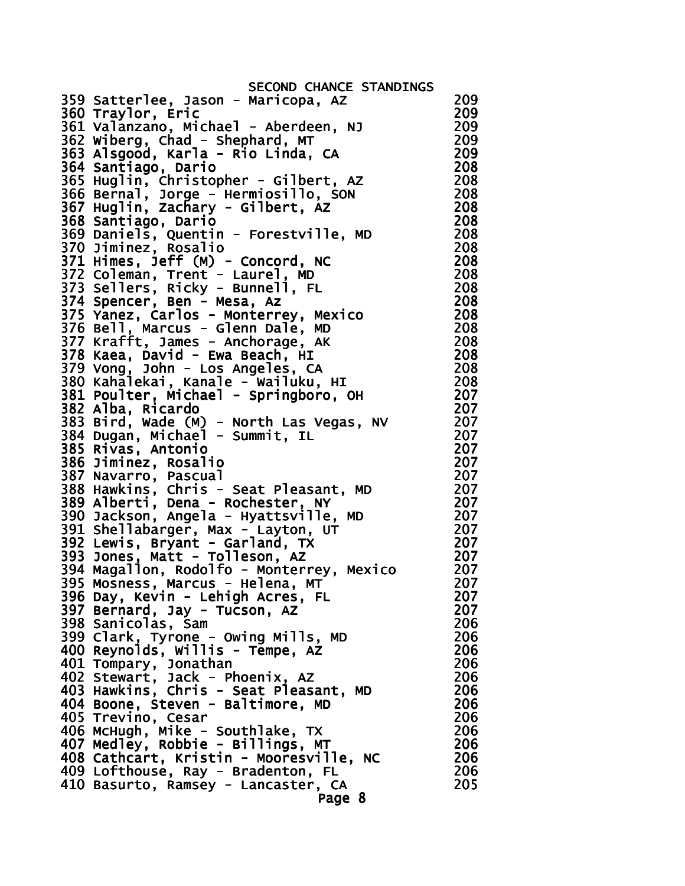SECOND CHANCE STANDINGS 359 Satterlee, Jason - Maricopa, AZ 209 360 Traylor, Eric 209 361 Valanzano, Michael - Aberdeen, NJ 209 362 Wiberg, Chad - Shephard, MT 209 363 Alsgood, Karla - Rio Linda, CA 209 364 Santiago, Dario 208 365 Huglin, Christopher - Gilbert, AZ 208 366 Bernal, Jorge - Hermiosillo, SON 208 367 Huglin, Zachary - Gilbert, AZ 208 368 Santiago, Dario 208 369 Daniels, Quentin - Forestville, MD 208 370 Jiminez, Rosalio 208 371 Himes, Jeff (M) - Concord, NC 208 372 Coleman, Trent - Laurel, MD 208 373 Sellers, Ricky - Bunnell, FL 208 374 Spencer, Ben - Mesa, Az 208 375 Yanez, Carlos - Monterrey, Mexico 208 376 Bell, Marcus - Glenn Dale, MD 208 377 Krafft, James - Anchorage, AK 208 378 Kaea, David - Ewa Beach, HI 208 379 Vong, John - Los Angeles, CA 208 380 Kahalekai, Kanale - Wailuku, HI 208 381 Poulter, Michael - Springboro, OH 207 382 Alba, Ricardo 207 383 Bird, Wade (M) - North Las Vegas, NV 207 384 Dugan, Michael - Summit, IL 207 385 Rivas, Antonio 207 386 Jiminez, Rosalio 207 387 Navarro, Pascual 207 388 Hawkins, Chris - Seat Pleasant, MD 207 389 Alberti, Dena - Rochester, NY 207 390 Jackson, Angela - Hyattsville, MD 207 391 Shellabarger, Max - Layton, UT 207 392 Lewis, Bryant - Garland, TX 207 393 Jones, Matt - Tolleson, AZ 207 394 Magallon, Rodolfo - Monterrey, Mexico 207 395 Mosness, Marcus - Helena, MT 207 396 Day, Kevin - Lehigh Acres, FL 207 397 Bernard, Jay - Tucson, AZ 207 398 Sanicolas, Sam 206 399 Clark, Tyrone - Owing Mills, MD 206 400 Reynolds, Willis - Tempe, AZ 206 401 Tompary, Jonathan 206 402 Stewart, Jack - Phoenix, AZ 206 403 Hawkins, Chris - Seat Pleasant, MD 206 404 Boone, Steven - Baltimore, MD 206 405 Trevino, Cesar 206 406 McHugh, Mike - Southlake, TX 206 407 Medley, Robbie - Billings, MT 206 408 Cathcart, Kristin - Mooresville, NC 206 409 Lofthouse, Ray - Bradenton, FL 206 410 Basurto, Ramsey - Lancaster, CA 205 Page 8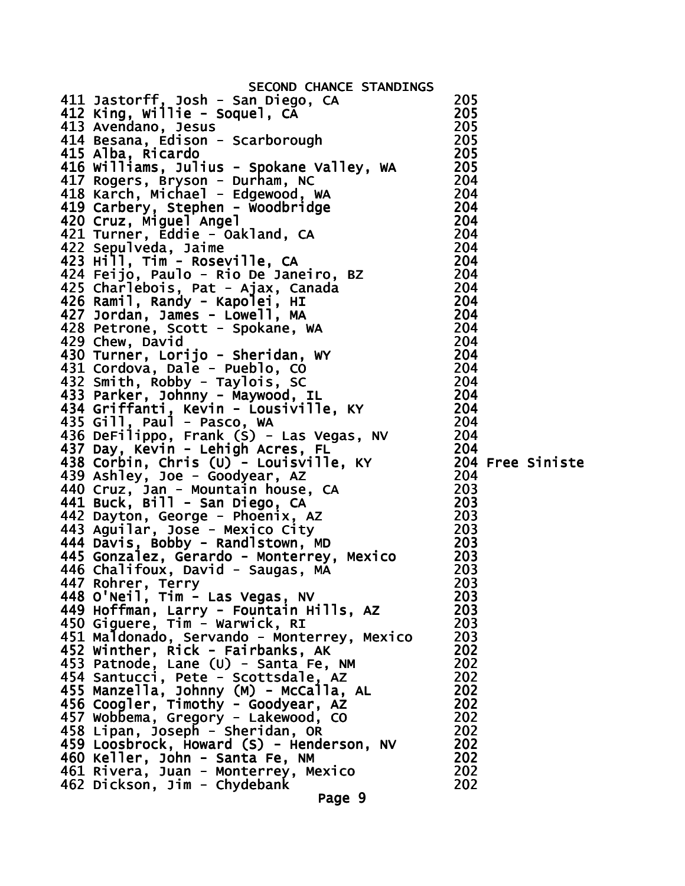| SECOND CHANCE STANDINGS                                                                                                                                                                                                                                                                                                                                                                                                                                        |     |  |
|----------------------------------------------------------------------------------------------------------------------------------------------------------------------------------------------------------------------------------------------------------------------------------------------------------------------------------------------------------------------------------------------------------------------------------------------------------------|-----|--|
| 411 Jastorff, Josh - San Diego, CA<br>412 King, Willie - Soquel, CA                                                                                                                                                                                                                                                                                                                                                                                            | 205 |  |
|                                                                                                                                                                                                                                                                                                                                                                                                                                                                | 205 |  |
|                                                                                                                                                                                                                                                                                                                                                                                                                                                                |     |  |
|                                                                                                                                                                                                                                                                                                                                                                                                                                                                |     |  |
| 413 Avendano, Jesus<br>414 Besana, Edison - Scarborough (114 Alesana, Edison - Scarborough (115 Alba. Ricardo)<br>415 Alba, Ricardo                                                                                                                                                                                                                                                                                                                            |     |  |
|                                                                                                                                                                                                                                                                                                                                                                                                                                                                |     |  |
|                                                                                                                                                                                                                                                                                                                                                                                                                                                                |     |  |
|                                                                                                                                                                                                                                                                                                                                                                                                                                                                |     |  |
|                                                                                                                                                                                                                                                                                                                                                                                                                                                                |     |  |
|                                                                                                                                                                                                                                                                                                                                                                                                                                                                |     |  |
|                                                                                                                                                                                                                                                                                                                                                                                                                                                                |     |  |
|                                                                                                                                                                                                                                                                                                                                                                                                                                                                |     |  |
|                                                                                                                                                                                                                                                                                                                                                                                                                                                                |     |  |
|                                                                                                                                                                                                                                                                                                                                                                                                                                                                |     |  |
|                                                                                                                                                                                                                                                                                                                                                                                                                                                                |     |  |
|                                                                                                                                                                                                                                                                                                                                                                                                                                                                |     |  |
|                                                                                                                                                                                                                                                                                                                                                                                                                                                                |     |  |
|                                                                                                                                                                                                                                                                                                                                                                                                                                                                |     |  |
|                                                                                                                                                                                                                                                                                                                                                                                                                                                                |     |  |
| 415 Alba, Ricardo<br>416 Williams, Julius - Spokane Valley, WA<br>417 Rogers, Bryson - Durham, NC<br>412 Karch, Michael - Edgewood, WA<br>418 Karch, Michael - Edgewood, WA<br>420 Cruz, Miguel Angel<br>420 Cruz, Miguel Angel<br>421 Turne<br>428 Petrone, Scott - spondals,<br>429 Chew, David<br>430 Turner, Lorijo - Sheridan, WY<br>431 Cordova, Dale - Pueblo, CO 204<br>131 Cordova, Dale - Pueblo, CO 204<br>14 Pohby - Taylois, SC 204<br>204<br>204 |     |  |
|                                                                                                                                                                                                                                                                                                                                                                                                                                                                |     |  |
|                                                                                                                                                                                                                                                                                                                                                                                                                                                                |     |  |
|                                                                                                                                                                                                                                                                                                                                                                                                                                                                |     |  |
|                                                                                                                                                                                                                                                                                                                                                                                                                                                                |     |  |
| 434 Griffanti, Kevin - Lousiville, KY 204                                                                                                                                                                                                                                                                                                                                                                                                                      |     |  |
| 435 Gill, Paul - Pasco, WA                                                                                                                                                                                                                                                                                                                                                                                                                                     | 204 |  |
|                                                                                                                                                                                                                                                                                                                                                                                                                                                                |     |  |
|                                                                                                                                                                                                                                                                                                                                                                                                                                                                |     |  |
|                                                                                                                                                                                                                                                                                                                                                                                                                                                                |     |  |
|                                                                                                                                                                                                                                                                                                                                                                                                                                                                |     |  |
|                                                                                                                                                                                                                                                                                                                                                                                                                                                                |     |  |
|                                                                                                                                                                                                                                                                                                                                                                                                                                                                |     |  |
|                                                                                                                                                                                                                                                                                                                                                                                                                                                                |     |  |
|                                                                                                                                                                                                                                                                                                                                                                                                                                                                |     |  |
|                                                                                                                                                                                                                                                                                                                                                                                                                                                                |     |  |
|                                                                                                                                                                                                                                                                                                                                                                                                                                                                |     |  |
|                                                                                                                                                                                                                                                                                                                                                                                                                                                                |     |  |
|                                                                                                                                                                                                                                                                                                                                                                                                                                                                |     |  |
| 435 Gill, Paul - Pasco, WA<br>436 DeFilippo, Frank (S) - Las Vegas, NV 204<br>437 Day, Kevin - Lehigh Acres, FL 204<br>438 Corbin, Chris (U) - Louisville, KY 204 Free Siniste<br>439 Ashley, Joe - Goodyear, AZ 204<br>440 Cruz, Jan -<br>446 Chalifoux, David - Saugas, MA                                                                                                                                                                                   | 203 |  |
| 447 Rohrer, Terry                                                                                                                                                                                                                                                                                                                                                                                                                                              | 203 |  |
| 448 O'Neil, Tim - Las Vegas, NV                                                                                                                                                                                                                                                                                                                                                                                                                                | 203 |  |
| 449 Hoffman, Larry - Fountain Hills, AZ                                                                                                                                                                                                                                                                                                                                                                                                                        | 203 |  |
| 450 Giguere, Tim - Warwick, RI                                                                                                                                                                                                                                                                                                                                                                                                                                 | 203 |  |
|                                                                                                                                                                                                                                                                                                                                                                                                                                                                | 203 |  |
| 451 Maldonado, Servando - Monterrey, Mexico                                                                                                                                                                                                                                                                                                                                                                                                                    | 202 |  |
| 452 Winther, Rick - Fairbanks, AK                                                                                                                                                                                                                                                                                                                                                                                                                              |     |  |
| 453 Patnode, Lane (U) - Santa Fe, NM                                                                                                                                                                                                                                                                                                                                                                                                                           | 202 |  |
| 454 Santucci, Pete - Scottsdale, AZ                                                                                                                                                                                                                                                                                                                                                                                                                            | 202 |  |
| 455 Manzella, Johnny (M) - McCalla, AL                                                                                                                                                                                                                                                                                                                                                                                                                         | 202 |  |
| 456 Coogler, Timothy - Goodyear, AZ                                                                                                                                                                                                                                                                                                                                                                                                                            | 202 |  |
| 457 Wobbema, Gregory - Lakewood, CO                                                                                                                                                                                                                                                                                                                                                                                                                            | 202 |  |
| 458 Lipan, Joseph - Sheridan, OR                                                                                                                                                                                                                                                                                                                                                                                                                               | 202 |  |
| 459 Loosbrock, Howard (S) - Henderson, NV                                                                                                                                                                                                                                                                                                                                                                                                                      | 202 |  |
| 460 Keller, John - Santa Fe, NM                                                                                                                                                                                                                                                                                                                                                                                                                                | 202 |  |
| 461 Rivera, Juan - Monterrey, Mexico                                                                                                                                                                                                                                                                                                                                                                                                                           | 202 |  |
| 462 Dickson, Jim - Chydebank<br>Page 9                                                                                                                                                                                                                                                                                                                                                                                                                         | 202 |  |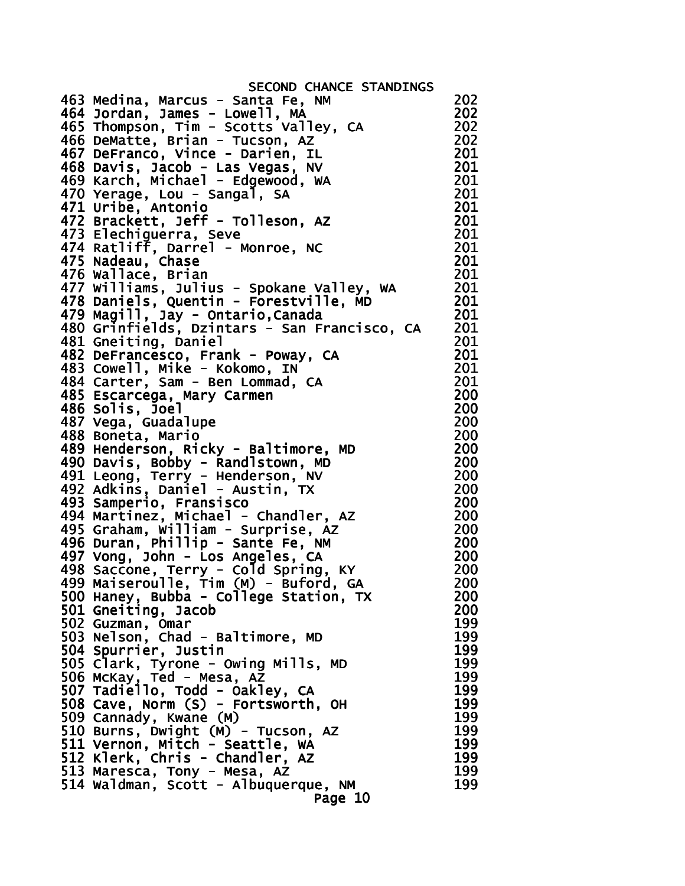SECOND CHANCE STANDINGS 463 Medina, Marcus - Santa Fe, NM 202 464 Jordan, James - Lowell, MA 202 465 Thompson, Tim - Scotts Valley, CA 202 466 DeMatte, Brian - Tucson, AZ 202 467 DeFranco, Vince - Darien, IL 201 468 Davis, Jacob - Las Vegas, NV 201 469 Karch, Michael - Edgewood, WA 201 470 Yerage, Lou - Sangal, SA 201 471 Uribe, Antonio 201 472 Brackett, Jeff - Tolleson, AZ 201 473 Elechiguerra, Seve 201 474 Ratliff, Darrel - Monroe, NC 201 475 Nadeau, Chase 201 476 Wallace, Brian 201 477 Williams, Julius - Spokane Valley, WA 201 478 Daniels, Quentin - Forestville, MD 201 479 Magill, Jay - Ontario,Canada 201 480 Grinfields, Dzintars - San Francisco, CA 201 481 Gneiting, Daniel 201 482 DeFrancesco, Frank - Poway, CA 201 483 Cowell, Mike - Kokomo, IN 201 484 Carter, Sam - Ben Lommad, CA 201 485 Escarcega, Mary Carmen 200 486 Solis, Joel 200 487 Vega, Guadalupe 200 488 Boneta, Mario 200 489 Henderson, Ricky - Baltimore, MD 200 490 Davis, Bobby - Randlstown, MD 200 491 Leong, Terry - Henderson, NV 200 492 Adkins, Daniel - Austin, TX 200 493 Samperio, Fransisco 200 494 Martinez, Michael - Chandler, AZ 200 495 Graham, William - Surprise, AZ 200 496 Duran, Phillip - Sante Fe, NM 200 497 Vong, John - Los Angeles, CA 200 498 Saccone, Terry - Cold Spring, KY 200 499 Maiseroulle, Tim (M) - Buford, GA 200 500 Haney, Bubba - College Station, TX 200 501 Gneiting, Jacob 200 502 Guzman, Omar 199 503 Nelson, Chad - Baltimore, MD 199 504 Spurrier, Justin 199 505 Clark, Tyrone - Owing Mills, MD 199 506 McKay, Ted - Mesa, AZ 199 507 Tadiello, Todd - Oakley, CA 199 508 Cave, Norm (S) - Fortsworth, OH 199 509 Cannady, Kwane (M) 199 510 Burns, Dwight (M) - Tucson, AZ 199 511 Vernon, Mitch - Seattle, WA 512 Klerk, Chris - Chandler, AZ 199 513 Maresca, Tony - Mesa, AZ 199 514 Waldman, Scott - Albuquerque, NM 199 Page 10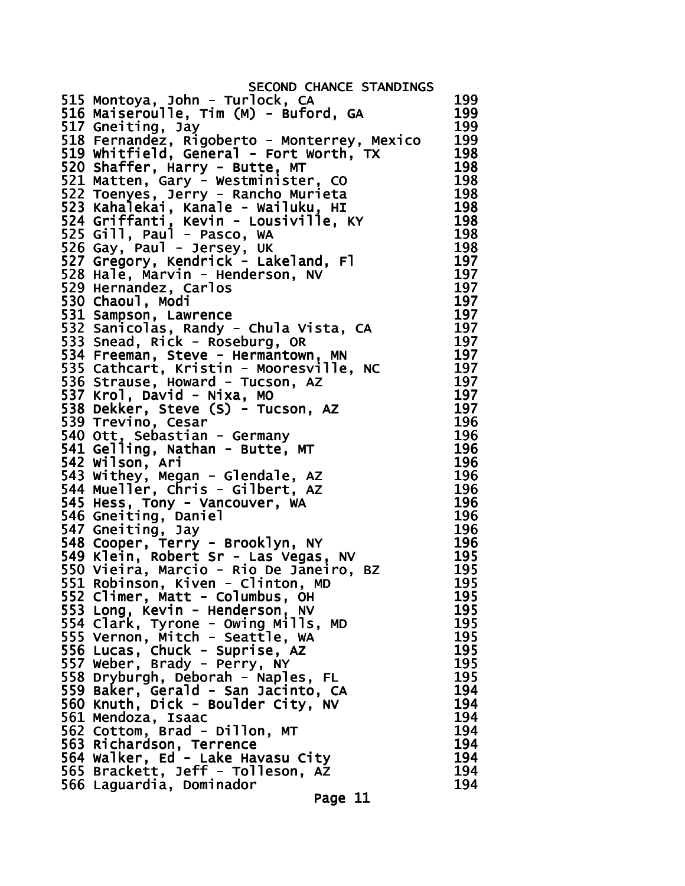| SECOND CHANCE STANDINGS                                                                                                                                     |     |
|-------------------------------------------------------------------------------------------------------------------------------------------------------------|-----|
| 515 Montoya, John - Turlock, CA                                                                                                                             | 199 |
| 516 Maiseroulle, Tim (M) - Buford, GA                                                                                                                       | 199 |
| 517 Gneiting, Jay                                                                                                                                           | 199 |
| 518 Fernandez, Rigoberto - Monterrey, Mexico                                                                                                                | 199 |
| 519 whitfield, General - Fort worth, TX                                                                                                                     | 198 |
| 520 Shaffer, Harry - Butte, MT                                                                                                                              | 198 |
|                                                                                                                                                             | 198 |
| wesuminister, CO<br>523 Kahalekai, Kanale - Wailuku, HI<br>524 Griffanti, Kevin - Lousiville, KY<br>525 Gill, Paul - Pasco, WA<br>526 Gay, Paul - Jersev Pr | 198 |
|                                                                                                                                                             | 198 |
|                                                                                                                                                             | 198 |
|                                                                                                                                                             | 198 |
|                                                                                                                                                             | 198 |
| 527 Gregory, Kendrick - Lakeland, Fl                                                                                                                        | 197 |
| 528 Hale, Marvin - Henderson, NV                                                                                                                            | 197 |
| 529 Hernandez, Carlos                                                                                                                                       | 197 |
| 530 Chaoul, Modi                                                                                                                                            | 197 |
|                                                                                                                                                             | 197 |
| 532 Sampson, Lawrence<br>532 Sanicolas, Randy - Chula Vista, CA<br>533 Snead, Rick - Roseburg, Op                                                           | 197 |
|                                                                                                                                                             | 197 |
| 534 Freeman, Steve - Hermantown, MN                                                                                                                         | 197 |
| 535 Cathcart, Kristin - Mooresville, NC                                                                                                                     | 197 |
| 536 Strause, Howard - Tucson, AZ                                                                                                                            | 197 |
| 537 Krol, David - Nixa, MO                                                                                                                                  | 197 |
| 538 Dekker, Steve (S) - Tucson, AZ                                                                                                                          | 197 |
| 539 Trevino, Cesar                                                                                                                                          | 196 |
|                                                                                                                                                             | 196 |
| 540 Ott, Sebastian - Germany<br>541 Gelling, Nathan - Butte, MT                                                                                             | 196 |
| 542 Wilson, Ari                                                                                                                                             | 196 |
| 543 Withey, Megan - Glendale, AZ                                                                                                                            | 196 |
| 544 Mueller, Chris - Gilbert, AZ                                                                                                                            | 196 |
| 545 Hess, Tony - Vancouver, WA                                                                                                                              | 196 |
| 546 Gneiting, Daniel                                                                                                                                        | 196 |
| 547 Gneiting, Jay                                                                                                                                           | 196 |
| 548 Cooper, Terry - Brooklyn, NY                                                                                                                            | 196 |
| 549 Klein, Robert Sr - Las Vegas, NV                                                                                                                        | 195 |
| 550 Vieira, Marcio - Rio De Janeiro, BZ                                                                                                                     | 195 |
| 551 Robinson, Kiven - Clinton, MD                                                                                                                           | 195 |
| 552 Climer, Matt - Columbus, OH                                                                                                                             | 195 |
| 553 Long, Kevin - Henderson, NV                                                                                                                             | 195 |
|                                                                                                                                                             | 195 |
| 554 Clark, Tyrone - Owing Mills, MD<br>555 Vernon, Mitch - Seattle, WA                                                                                      | 195 |
|                                                                                                                                                             | 195 |
| 556 Lucas, Chuck - Suprise, AZ<br>557 weber, Brady - Perry, NY                                                                                              | 195 |
| 558 Dryburgh, Deborah - Naples, FL                                                                                                                          | 195 |
| 559 Baker, Gerald - San Jacinto, CA                                                                                                                         | 194 |
|                                                                                                                                                             | 194 |
| 560 Knuth, Dick - Boulder City, NV<br>561 Mendoza, Isaac                                                                                                    | 194 |
| 562 Cottom, Brad - Dillon, MT                                                                                                                               | 194 |
| 563 Richardson, Terrence                                                                                                                                    | 194 |
|                                                                                                                                                             | 194 |
| 564 Walker, Ed - Lake Havasu City<br>565 Brackett, Jeff - Tolleson, AZ                                                                                      | 194 |
| 566 Laguardia, Dominador                                                                                                                                    | 194 |
|                                                                                                                                                             |     |
| Page 11                                                                                                                                                     |     |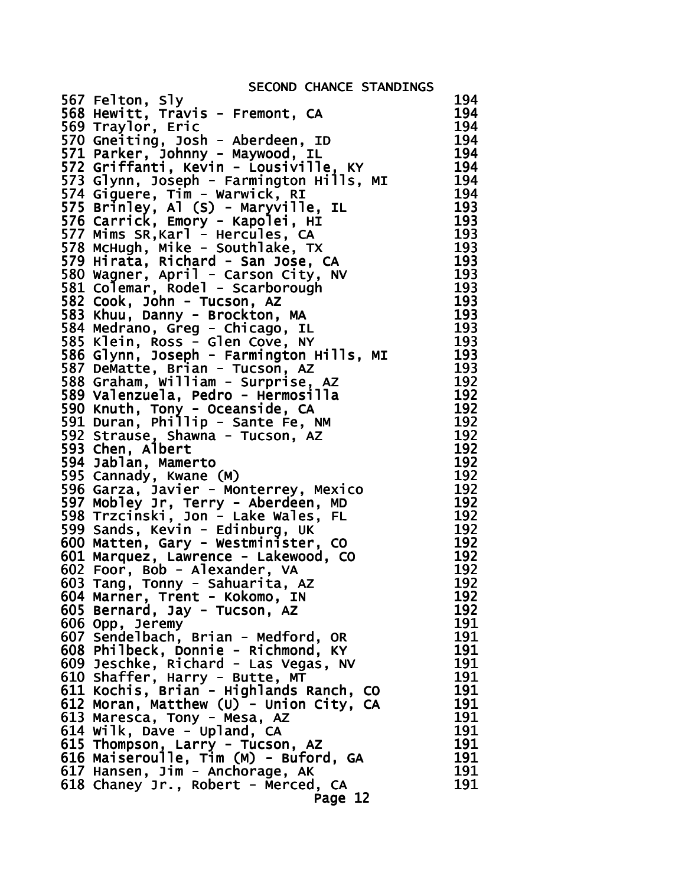SECOND CHANCE STANDINGS

| 567 Felton, Sly<br>568 Hewitt, Travis - Fremont, CA                                                                  | 194 |
|----------------------------------------------------------------------------------------------------------------------|-----|
|                                                                                                                      | 194 |
| 569 Traylor, Eric<br>570 Gneiting, Josh - Aberdeen, ID                                                               | 194 |
|                                                                                                                      | 194 |
| 571 Parker, Johnny - Maywood, IL                                                                                     | 194 |
| 572 Griffanti, Kevin - Lousiville, KY                                                                                | 194 |
| 573 Glynn, Joseph - Farmington Hills, MI                                                                             | 194 |
| 574 Giguere, Tim - Warwick, RI                                                                                       | 194 |
| 575 Brinley, Al (S) - Maryville, IL                                                                                  | 193 |
| 576 Carrick, Emory - Kapolei, HI                                                                                     | 193 |
|                                                                                                                      | 193 |
| 577 Mims SR, Karl - Hercules, CA<br>578 McHugh, Mike - Southlake, TX                                                 |     |
|                                                                                                                      | 193 |
| 579 Hirata, Richard - San Jose, CA                                                                                   | 193 |
| 580 Wagner, April - Carson City, NV<br>581 Colemar, Rodel - Scarborough                                              | 193 |
|                                                                                                                      | 193 |
| 582 Cook, John - Tucson, AZ                                                                                          | 193 |
| 583 Khuu, Danny - Brockton, MA                                                                                       | 193 |
| 584 Medrano, Greg - Chicago, IL                                                                                      | 193 |
| 585 Klein, Ross - Glen Cove, NY<br>586 Glynn, Joseph - Farmington Hills, MI                                          | 193 |
|                                                                                                                      | 193 |
|                                                                                                                      | 193 |
| 587 DeMatte, Brian - Tucson, AZ<br>588 Graham, William - Surprise, AZ                                                | 192 |
| 589 Valenzuela, Pedro - Hermosilla                                                                                   | 192 |
| 590 Knuth, Tony - Oceanside, CA                                                                                      | 192 |
| 591 Duran, Phillip - Sante Fe, NM                                                                                    | 192 |
|                                                                                                                      | 192 |
| 592 Strause, Shawna - Tucson, AZ<br>593 Chen, Albert<br>594 Jablan, Mamerto                                          | 192 |
|                                                                                                                      | 192 |
| 595 Cannady, Kwane (M)                                                                                               | 192 |
|                                                                                                                      | 192 |
| 596 Garza, Javier - Monterrey, Mexico                                                                                | 192 |
| 597 Mobley Jr, Terry - Aberdeen, MD<br>598 Trzcinski, Jon - Lake Wales, FL                                           | 192 |
|                                                                                                                      |     |
| 599 Sands, Kevin - Edinburg, UK<br>600 Matten, Gary - Westminister, CO                                               | 192 |
|                                                                                                                      | 192 |
| 601 Marquez, Lawrence - Lakewood, CO                                                                                 | 192 |
| 602 Foor, Bob - Alexander, VA                                                                                        | 192 |
| 603 Tang, Tonny - Sahuarita, AZ                                                                                      | 192 |
| 604 Marner, Trent - Kokomo, IN                                                                                       | 192 |
| 605 Bernard, Jay - Tucson, AZ                                                                                        | 192 |
| 606 Opp, Jeremy                                                                                                      | 191 |
| 607 Sendelbach, Brian - Medford, OR                                                                                  | 191 |
| 608 Philbeck, Donnie - Richmond, KY<br>609 Jeschke, Richard - Las Vegas, NV                                          | 191 |
|                                                                                                                      | 191 |
| 610 Shaffer, Harry - Butte, MT<br>611 Kochis, Brian - Highlands Ranch, CO<br>612 Moran, Matthew (U) - Union City, CA | 191 |
|                                                                                                                      | 191 |
|                                                                                                                      | 191 |
| 613 Maresca, Tony - Mesa, AZ                                                                                         | 191 |
| 614 Wilk, Dave - Upland, CA                                                                                          | 191 |
|                                                                                                                      | 191 |
|                                                                                                                      | 191 |
| 615 Thompson, Larry - Tucson, AZ<br>616 Maiseroulle, Tim (M) - Buford, GA<br>617 Hansen, Jim - Anchorage, AK         | 191 |
| 618 Chaney Jr., Robert - Merced, CA                                                                                  | 191 |
|                                                                                                                      |     |
| Page 12                                                                                                              |     |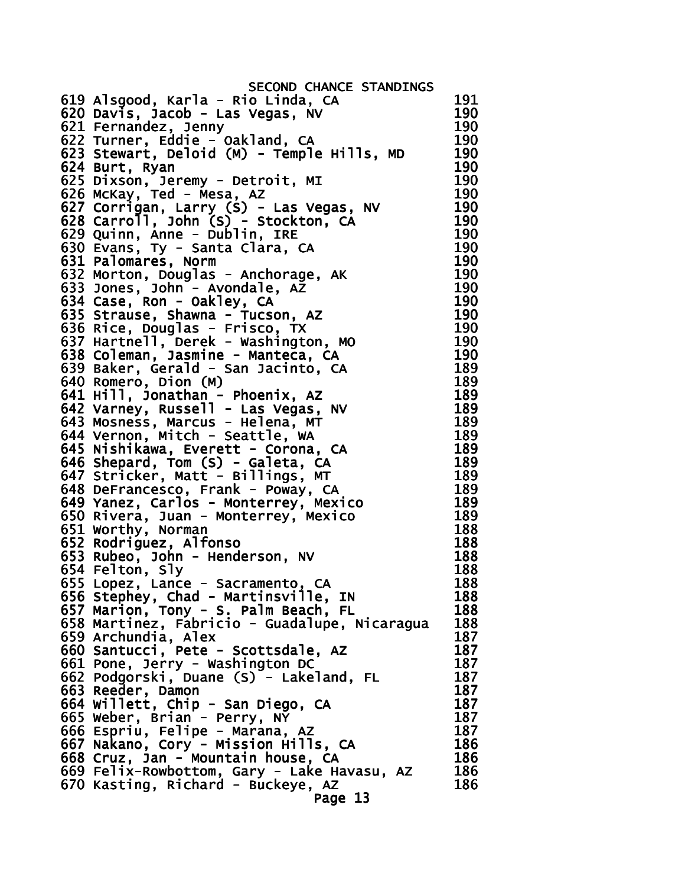| SECOND CHANCE STANDINGS                                                 |            |
|-------------------------------------------------------------------------|------------|
| 619 Alsgood, Karla - Rio Linda, CA                                      | 191        |
| 620 Davis, Jacob - Las Vegas, NV                                        | 190        |
| 621 Fernandez, Jenny                                                    | 190        |
| 622 Turner, Eddie - Oakland, CA                                         | 190        |
| 623 Stewart, Deloid (M) - Temple Hills, MD                              | 190        |
| 624 Burt, Ryan                                                          | 190        |
| 625 Dixson, Jeremy - Detroit, MI                                        | 190        |
| 626 McKay, Ted - Mesa, AZ                                               | 190        |
| 627 Corrigan, Larry (S) - Las Vegas, NV                                 | 190        |
| 628 Carroll, John (S) - Stockton, CA                                    | 190        |
| 629 Quinn, Anne - Dublin, IRE                                           | 190        |
| 630 Evans, Ty - Santa Clara, CA                                         | 190        |
| 631 Palomares, Norm                                                     | 190        |
| 632 Morton, Douglas - Anchorage, AK                                     | 190        |
| 633 Jones, John - Avondale, AZ                                          | 190        |
| 634 Case, Ron - Oakley, CA                                              | 190        |
| 635 Strause, Shawna - Tucson, AZ                                        | 190        |
| 636 Rice, Douglas - Frisco, TX                                          | 190        |
| 637 Hartnell, Derek - Washington, MO                                    | 190        |
| 638 Coleman, Jasmine - Manteca, CA                                      | 190        |
| 639 Baker, Gerald - San Jacinto, CA                                     | 189        |
| 640 Romero, Dion (M)                                                    | 189        |
| 641 Hill, Jonathan - Phoenix, AZ                                        | 189        |
|                                                                         | 189        |
| 642 Varney, Russell - Las Vegas, NV<br>643 Mosness, Marcus - Helena, MT | 189        |
| 644 Vernon, Mitch - Seattle, WA                                         | 189        |
| 645 Nishikawa, Everett - Corona, CA                                     | 189        |
| 646 Shepard, Tom (S) - Galeta, CA                                       | 189        |
| 647 Stricker, Matt - Billings, MT                                       | 189        |
| 648 DeFrancesco, Frank - Poway, CA                                      | 189        |
| 649 Yanez, Carlos - Monterrey, Mexico                                   | 189        |
| 650 Rivera, Juan - Monterrey, Mexico                                    | 189        |
| 651 Worthy, Norman                                                      | 188        |
| 652 Rodriguez, Alfonso                                                  | 188        |
| 653 Rubeo, John - Henderson, NV                                         | 188        |
| 654 Felton, Sly                                                         | 188        |
| 655 Lopez, Lance - Sacramento, CA                                       | 188        |
| 656 Stephey, Chad - Martinsville, IN                                    | 188        |
| 657 Marion, Tony - S. Palm Beach, FL                                    | 188        |
| 658 Martinez, Fabricio - Guadalupe, Nicaragua                           | 188        |
| 659 Archundia, Alex                                                     | 187        |
| 660 Santucci, Pete - Scottsdale, AZ                                     | 187        |
| 661 Pone, Jerry - Washington DC                                         | 187<br>187 |
| 662 Podgorski, Duane (S) - Lakeland, FL                                 | 187        |
| 663 Reeder, Damon                                                       | 187        |
| 664 Willett, Chip - San Diego, CA<br>665 Weber, Brian - Perry, NY       | 187        |
|                                                                         | 187        |
| 666 Espriu, Felipe - Marana, AZ<br>667 Nakano, Cory - Mission Hills, CA | 186        |
| 668 Cruz, Jan - Mountain house, CA                                      | 186        |
| 669 Felix-Rowbottom, Gary - Lake Havasu, AZ                             | 186        |
| 670 Kasting, Richard - Buckeye, AZ                                      | 186        |
| Page 13                                                                 |            |
|                                                                         |            |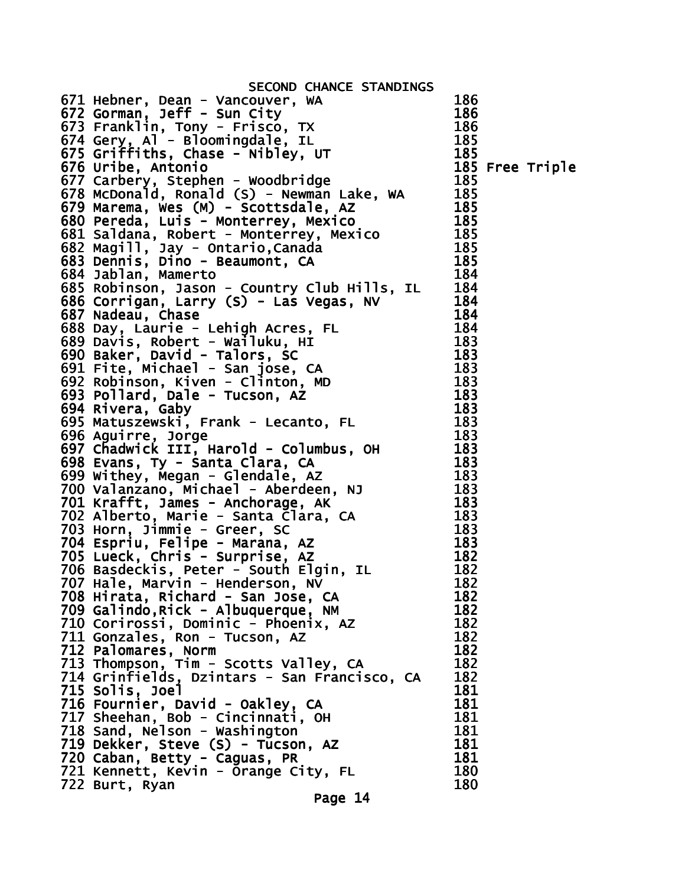| 671 Hebner, Dean - Vancouver, WA<br>672 Gorman, Jeff - Sun City<br>673 Franklin, Tony - Frisco, TX<br>674 Gery, Al - Bloomingdale, IL<br>676 Griffiths, Chase - Nibley, UT<br>676 Uribe, Antonio<br>677 Carbery, Stephen - Woodbridge<br>677 |     |
|----------------------------------------------------------------------------------------------------------------------------------------------------------------------------------------------------------------------------------------------|-----|
|                                                                                                                                                                                                                                              |     |
|                                                                                                                                                                                                                                              |     |
|                                                                                                                                                                                                                                              |     |
|                                                                                                                                                                                                                                              |     |
|                                                                                                                                                                                                                                              |     |
|                                                                                                                                                                                                                                              |     |
|                                                                                                                                                                                                                                              |     |
|                                                                                                                                                                                                                                              |     |
|                                                                                                                                                                                                                                              |     |
| 684 Dennis, Dino - Beaumont, CA and 183<br>684 Jablan, Mamerto<br>685 Robinson, Jason - Country Club Hills, IL 184<br>685 Robinson, Jason - Country Club Hills, IL 184<br>685 Nodeau, Chase<br>687 Nadeau, Chase<br>687 Nadeau, Chase<br>687 |     |
|                                                                                                                                                                                                                                              |     |
|                                                                                                                                                                                                                                              |     |
|                                                                                                                                                                                                                                              |     |
|                                                                                                                                                                                                                                              |     |
|                                                                                                                                                                                                                                              |     |
|                                                                                                                                                                                                                                              |     |
|                                                                                                                                                                                                                                              |     |
|                                                                                                                                                                                                                                              |     |
|                                                                                                                                                                                                                                              |     |
|                                                                                                                                                                                                                                              |     |
|                                                                                                                                                                                                                                              |     |
|                                                                                                                                                                                                                                              |     |
| 708 Hirata, Richard - San Jose, CA                                                                                                                                                                                                           | 182 |
| 709 Galindo, Rick - Albuquerque, NM                                                                                                                                                                                                          | 182 |
|                                                                                                                                                                                                                                              | 182 |
| 710 Corirossi, Dominic - Phoenix, AZ                                                                                                                                                                                                         | 182 |
| 711 Gonzales, Ron - Tucson, AZ                                                                                                                                                                                                               |     |
| 712 Palomares, Norm                                                                                                                                                                                                                          | 182 |
| 713 Thompson, Tim - Scotts Valley, CA                                                                                                                                                                                                        | 182 |
| 714 Grinfields, Dzintars - San Francisco, CA                                                                                                                                                                                                 | 182 |
| 715 Solis, Joel<br>716 Fournier, David - Oakley, CA                                                                                                                                                                                          | 181 |
|                                                                                                                                                                                                                                              | 181 |
|                                                                                                                                                                                                                                              | 181 |
| 717 Sheehan, Bob - Cincinnati, OH<br>718 Sand, Nelson - Washington                                                                                                                                                                           | 181 |
| 719 Dekker, Steve (S) - Tucson, AZ                                                                                                                                                                                                           | 181 |
| 720 Caban, Betty - Caguas, PR                                                                                                                                                                                                                | 181 |
| 721 Kennett, Kevin - Orange City, FL                                                                                                                                                                                                         | 180 |
| 722 Burt, Ryan                                                                                                                                                                                                                               | 180 |
| Page 14                                                                                                                                                                                                                                      |     |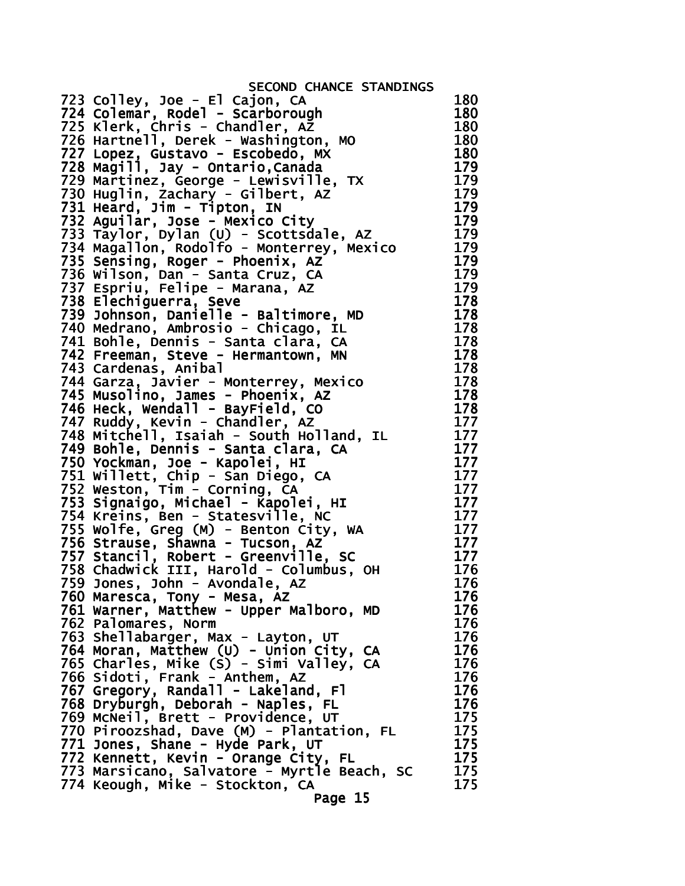| SECOND CHANCE STANDINGS                                                            |            |
|------------------------------------------------------------------------------------|------------|
| 723 Colley, Joe - El Cajon, CA                                                     | 180        |
| 724 Colemar, Rodel - Scarborough                                                   | 180        |
| 725 Klerk, Chris - Chandler, AZ                                                    | 180        |
| 726 Hartnell, Derek - Washington, MO                                               | 180        |
| 727 Lopez, Gustavo - Escobedo, MX                                                  | 180        |
| 728 Magill, Jay - Ontario, Canada                                                  | 179        |
| 729 Martinez, George - Lewisville, TX                                              | 179        |
| 730 Huglin, Zachary - Gilbert, AZ                                                  | 179        |
| 731 Heard, Jim - Tipton, IN                                                        | 179        |
| 732 Aguilar, Jose - Mexico City                                                    | 179        |
| 733 Taylor, Dylan (U) - Scottsdale, AZ                                             | 179        |
| 734 Magallon, Rodolfo - Monterrey, Mexico                                          | 179        |
| 735 Sensing, Roger - Phoenix, AZ                                                   | 179        |
| 736 Wilson, Dan - Santa Cruz, CA                                                   | 179        |
| 737 Espriu, Felipe - Marana, AZ                                                    | 179        |
| 738 Elechiguerra, Seve                                                             | 178        |
| 739 Johnson, Danielle - Baltimore, MD                                              | 178        |
| 740 Medrano, Ambrosio - Chicago, IL                                                | 178        |
| 741 Bohle, Dennis - Santa clara, CA                                                | 178        |
| 742 Freeman, Steve - Hermantown, MN                                                | 178        |
| 743 Cardenas, Anibal                                                               | 178        |
| 744 Garza, Javier - Monterrey, Mexico                                              | 178        |
| 745 Musolino, James - Phoenix, AZ                                                  | 178        |
| 746 Heck, Wendall - BayField, CO                                                   | 178        |
| 747 Ruddy, Kevin - Chandler, AZ                                                    | 177        |
| 748 Mitchell, Isaiah - South Holland, IL                                           | 177        |
| 749 Bohle, Dennis - Santa clara, CA                                                | 177        |
| 750 Yockman, Joe - Kapolei, HI                                                     | 177        |
| 751 Willett, Chip - San Diego, CA                                                  | 177        |
| 752 Weston, Tim - Corning, CA                                                      | 177        |
| 753 Signaigo, Michael - Kapolei, HI                                                | 177        |
| 754 Kreins, Ben - Statesville, NC                                                  | 177        |
| 755 Wolfe, Greg (M) - Benton City, WA                                              | 177        |
| 756 Strause, Shawna - Tucson, AZ                                                   | 177        |
| 757 Stancil, Robert - Greenville, SC                                               | 177        |
| 758 Chadwick III, Harold - Columbus, OH                                            | 176        |
| 759 Jones, John - Avondale, AZ                                                     | 176        |
| 760 Maresca, Tony - Mesa, AZ                                                       | 176        |
| 761 Warner, Matthew - Upper Malboro, MD<br>762 Palomares, Norm                     | 176        |
|                                                                                    | 176        |
| 763 Shellabarger, Max - Layton, UT                                                 | 176<br>176 |
| 764 Moran, Matthew (U) - Union City, CA<br>765 Charles, Mike (S) - Simi Valley, CA | 176        |
| 766 Sidoti, Frank - Anthem, AZ                                                     | 176        |
| 767 Gregory, Randall - Lakeland, Fl                                                | 176        |
| 768 Dryburgh, Deborah - Naples, FL                                                 | 176        |
| 769 MCNeil, Brett - Providence, UT                                                 | 175        |
| 770 Piroozshad, Dave (M) - Plantation, FL                                          | 175        |
| 771 Jones, Shane - Hyde Park, UT                                                   | 175        |
| 772 Kennett, Kevin - Orange City, FL                                               | 175        |
| 773 Marsicano, Salvatore - Myrtle Beach, SC                                        | 175        |
| 774 Keough, Mike - Stockton, CA                                                    | 175        |
| Page 15                                                                            |            |
|                                                                                    |            |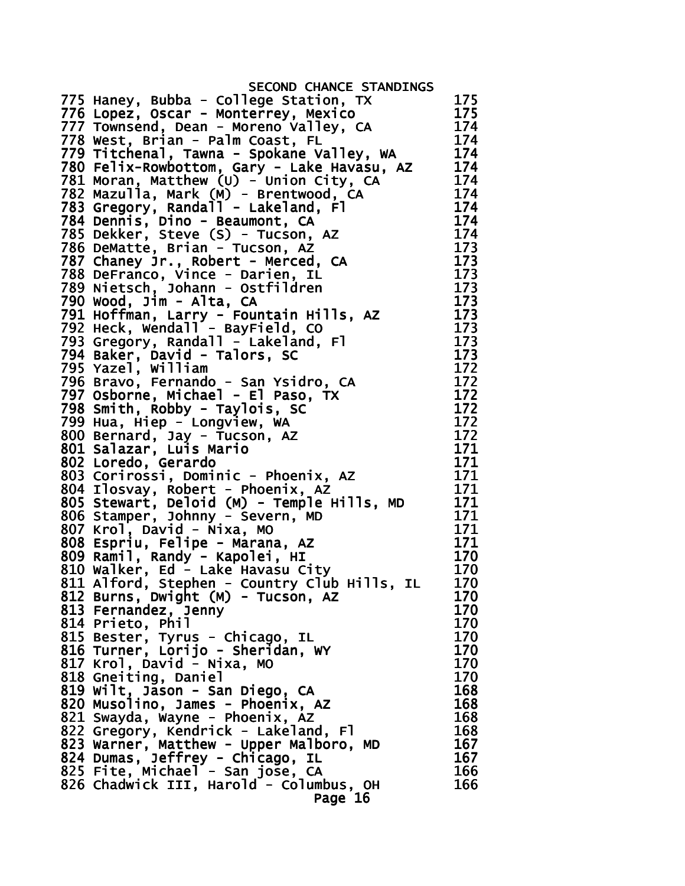| SECOND CHANCE STANDINGS                      |     |
|----------------------------------------------|-----|
| 775 Haney, Bubba - College Station, TX       | 175 |
| 776 Lopez, Oscar - Monterrey, Mexico         | 175 |
| 777 Townsend, Dean - Moreno Valley, CA       | 174 |
| 778 West, Brian - Palm Coast, FL             | 174 |
| 779 Titchenal, Tawna - Spokane Valley, WA    | 174 |
| 780 Felix-Rowbottom, Gary - Lake Havasu, AZ  | 174 |
| 781 Moran, Matthew (U) - Union City, CA      | 174 |
| 782 Mazulla, Mark (M) - Brentwood, CA        | 174 |
| 783 Gregory, Randall - Lakeland, Fl          | 174 |
| 784 Dennis, Dino - Beaumont, CA              | 174 |
| 785 Dekker, Steve (S) - Tucson, AZ           | 174 |
| 786 DeMatte, Brian - Tucson, AZ              | 173 |
| 787 Chaney Jr., Robert - Merced, CA          | 173 |
| 788 DeFranco, Vince - Darien, IL             | 173 |
| 789 Nietsch, Johann - Ostfildren             | 173 |
| 790 Wood, Jim - Alta, CA                     | 173 |
| 791 Hoffman, Larry - Fountain Hills, AZ      | 173 |
| 792 Heck, Wendall - BayField, CO             | 173 |
| 793 Gregory, Randall - Lakeland, Fl          | 173 |
| 794 Baker, David - Talors, SC                | 173 |
| 795 Yazel, William                           | 172 |
| 796 Bravo, Fernando - San Ysidro, CA         | 172 |
| 797 Osborne, Michael - El Paso, TX           | 172 |
| 798 Smith, Robby - Taylois, SC               | 172 |
| 799 Hua, Hiep - Longview, WA                 | 172 |
| 800 Bernard, Jay - Tucson, AZ                | 172 |
| 801 Salazar, Luis Mario                      | 171 |
| 802 Loredo, Gerardo                          | 171 |
| 803 Corirossi, Dominic - Phoenix, AZ         | 171 |
| 804 Ilosvay, Robert - Phoenix, AZ            | 171 |
| 805 Stewart, Deloid (M) - Temple Hills, MD   | 171 |
| 806 Stamper, Johnny - Severn, MD             | 171 |
| 807 Krol, David - Nixa, MO                   | 171 |
| 808 Espriu, Felipe - Marana, AZ              | 171 |
| 809 Ramil, Randy - Kapolei, HI               | 170 |
| 810 Walker, Ed - Lake Havasu City            | 170 |
| 811 Alford, Stephen - Country Club Hills, IL | 170 |
| 812 Burns, Dwight (M) - Tucson, AZ           | 170 |
| 813 Fernandez, Jenny                         | 170 |
| 814 Prieto, Phil                             | 170 |
|                                              | 170 |
| 815 Bester, Tyrus - Chicago, IL              | 170 |
| 816 Turner, Lorijo - Sheridan, WY            | 170 |
| 817 Krol, David - Nixa, MO                   | 170 |
| 818 Gneiting, Daniel                         | 168 |
| 819 Wilt, Jason - San Diego, CA              |     |
| 820 Musolino, James - Phoenix, AZ            | 168 |
| 821 Swayda, Wayne - Phoenix, AZ              | 168 |
| 822 Gregory, Kendrick - Lakeland, Fl         | 168 |
| 823 Warner, Matthew - Upper Malboro, MD      | 167 |
| 824 Dumas, Jeffrey - Chicago, IL             | 167 |
| 825 Fite, Michael - San jose, CA             | 166 |
| 826 Chadwick III, Harold - Columbus, OH      | 166 |
| Page 16                                      |     |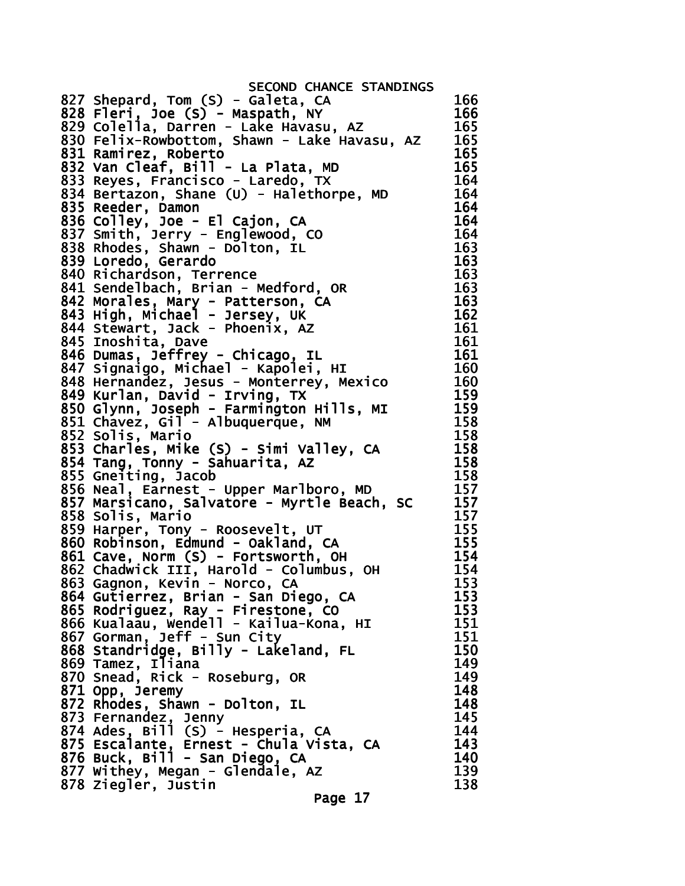SECOND CHANCE STANDINGS 827 Shepard, Tom (S) - Galeta, CA 166 828 Fleri, Joe (S) - Maspath, NY 166 829 Colella, Darren - Lake Havasu, AZ 165 830 Felix-Rowbottom, Shawn - Lake Havasu, AZ 165 831 Ramirez, Roberto 165 832 Van Cleaf, Bill - La Plata, MD 165 833 Reyes, Francisco - Laredo, TX 164 834 Bertazon, Shane (U) - Halethorpe, MD 164 835 Reeder, Damon 164 836 Colley, Joe - El Cajon, CA 164 837 Smith, Jerry - Englewood, CO 164 838 Rhodes, Shawn - Dolton, IL 163 839 Loredo, Gerardo 163 840 Richardson, Terrence 163 841 Sendelbach, Brian - Medford, OR 163 842 Morales, Mary - Patterson, CA 163 843 High, Michael - Jersey, UK 162 844 Stewart, Jack - Phoenix, AZ 161 845 Inoshita, Dave 161 846 Dumas, Jeffrey - Chicago, IL 161 847 Signaigo, Michael - Kapolei, HI 160 848 Hernandez, Jesus - Monterrey, Mexico 160 849 Kurlan, David - Irving, TX  $\frac{159}{159}$ 850 Glynn, Joseph - Farmington Hills, MI 159 851 Chavez, Gil - Albuquerque, NM 158 852 Solis, Mario 158 853 Charles, Mike (S) - Simi Valley, CA 158 854 Tang, Tonny - Sahuarita, AZ 158 855 Gneiting, Jacob 158 856 Neal, Earnest - Upper Marlboro, MD 857 Marsicano, Salvatore - Myrtle Beach, SC 157 858 Solis, Mario 157 859 Harper, Tony - Roosevelt, UT 155<br>860 Robinson. Edmund - Oakland. CA 155 860 Robinson, Edmund - Oakland, CA 861 Cave, Norm (S) - Fortsworth, OH 154 862 Chadwick III, Harold - Columbus, OH 154 863 Gagnon, Kevin - Norco, CA 153 864 Gutierrez, Brian - San Diego, CA 153 865 Rodriguez, Ray - Firestone, CO 153 866 Kualaau, Wendell - Kailua-Kona, HI 151 867 Gorman, Jeff - Sun City 151 868 Standridge, Billy - Lakeland, FL 150 869 Tamez, Iliana 149 870 Snead, Rick - Roseburg, OR 149 871 Opp, Jeremy 148 872 Rhodes, Shawn - Dolton, IL 148 873 Fernandez, Jenny 145 874 Ades, Bill (S) - Hesperia, CA 144 875 Escalante, Ernest - Chula Vista, CA 143 876 Buck, Bill - San Diego, CA 140 877 Withey, Megan - Glendale, AZ 139 878 Ziegler, Justin 138